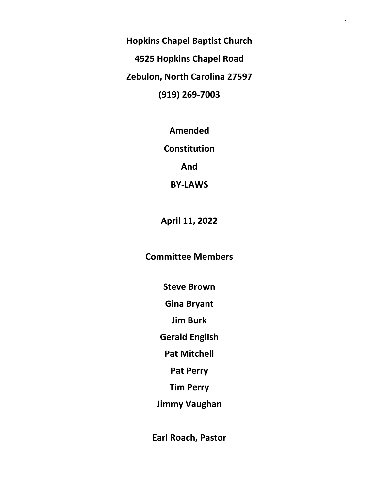**Hopkins Chapel Baptist Church 4525 Hopkins Chapel Road Zebulon, North Carolina 27597 (919) 269-7003**

**Amended**

**Constitution**

**And**

**BY-LAWS**

**April 11, 2022**

**Committee Members**

**Steve Brown**

**Gina Bryant**

**Jim Burk**

**Gerald English**

**Pat Mitchell**

**Pat Perry**

**Tim Perry**

**Jimmy Vaughan**

**Earl Roach, Pastor**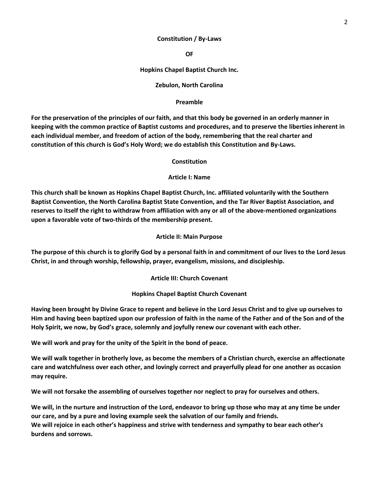### **Constitution / By-Laws**

**OF**

## **Hopkins Chapel Baptist Church Inc.**

### **Zebulon, North Carolina**

### **Preamble**

**For the preservation of the principles of our faith, and that this body be governed in an orderly manner in keeping with the common practice of Baptist customs and procedures, and to preserve the liberties inherent in each individual member, and freedom of action of the body, remembering that the real charter and constitution of this church is God's Holy Word; we do establish this Constitution and By-Laws.**

### **Constitution**

### **Article I: Name**

**This church shall be known as Hopkins Chapel Baptist Church, Inc. affiliated voluntarily with the Southern Baptist Convention, the North Carolina Baptist State Convention, and the Tar River Baptist Association, and reserves to itself the right to withdraw from affiliation with any or all of the above-mentioned organizations upon a favorable vote of two-thirds of the membership present.**

### **Article II: Main Purpose**

**The purpose of this church is to glorify God by a personal faith in and commitment of our lives to the Lord Jesus Christ, in and through worship, fellowship, prayer, evangelism, missions, and discipleship.**

#### **Article III: Church Covenant**

## **Hopkins Chapel Baptist Church Covenant**

**Having been brought by Divine Grace to repent and believe in the Lord Jesus Christ and to give up ourselves to Him and having been baptized upon our profession of faith in the name of the Father and of the Son and of the Holy Spirit, we now, by God's grace, solemnly and joyfully renew our covenant with each other.** 

**We will work and pray for the unity of the Spirit in the bond of peace.**

**We will walk together in brotherly love, as become the members of a Christian church, exercise an affectionate care and watchfulness over each other, and lovingly correct and prayerfully plead for one another as occasion may require.**

**We will not forsake the assembling of ourselves together nor neglect to pray for ourselves and others.**

**We will, in the nurture and instruction of the Lord, endeavor to bring up those who may at any time be under our care, and by a pure and loving example seek the salvation of our family and friends. We will rejoice in each other's happiness and strive with tenderness and sympathy to bear each other's burdens and sorrows.**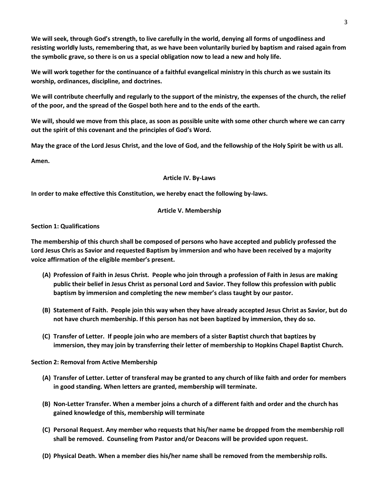**We will seek, through God's strength, to live carefully in the world, denying all forms of ungodliness and resisting worldly lusts, remembering that, as we have been voluntarily buried by baptism and raised again from the symbolic grave, so there is on us a special obligation now to lead a new and holy life.**

**We will work together for the continuance of a faithful evangelical ministry in this church as we sustain its worship, ordinances, discipline, and doctrines.**

**We will contribute cheerfully and regularly to the support of the ministry, the expenses of the church, the relief of the poor, and the spread of the Gospel both here and to the ends of the earth.**

**We will, should we move from this place, as soon as possible unite with some other church where we can carry out the spirit of this covenant and the principles of God's Word.**

**May the grace of the Lord Jesus Christ, and the love of God, and the fellowship of the Holy Spirit be with us all.**

**Amen.**

### **Article IV. By-Laws**

**In order to make effective this Constitution, we hereby enact the following by-laws.**

## **Article V. Membership**

### **Section 1: Qualifications**

**The membership of this church shall be composed of persons who have accepted and publicly professed the Lord Jesus Chris as Savior and requested Baptism by immersion and who have been received by a majority voice affirmation of the eligible member's present.**

- **(A) Profession of Faith in Jesus Christ. People who join through a profession of Faith in Jesus are making public their belief in Jesus Christ as personal Lord and Savior. They follow this profession with public baptism by immersion and completing the new member's class taught by our pastor.**
- **(B) Statement of Faith. People join this way when they have already accepted Jesus Christ as Savior, but do not have church membership. If this person has not been baptized by immersion, they do so.**
- **(C) Transfer of Letter. If people join who are members of a sister Baptist church that baptizes by immersion, they may join by transferring their letter of membership to Hopkins Chapel Baptist Church.**

## **Section 2: Removal from Active Membership**

- **(A) Transfer of Letter. Letter of transferal may be granted to any church of like faith and order for members in good standing. When letters are granted, membership will terminate.**
- **(B) Non-Letter Transfer. When a member joins a church of a different faith and order and the church has gained knowledge of this, membership will terminate**
- **(C) Personal Request. Any member who requests that his/her name be dropped from the membership roll shall be removed. Counseling from Pastor and/or Deacons will be provided upon request.**
- **(D) Physical Death. When a member dies his/her name shall be removed from the membership rolls.**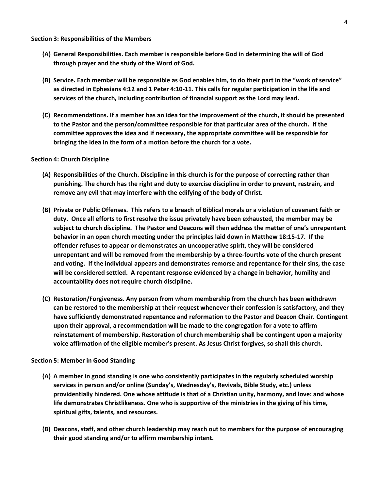#### **Section 3: Responsibilities of the Members**

- **(A) General Responsibilities. Each member is responsible before God in determining the will of God through prayer and the study of the Word of God.**
- **(B) Service. Each member will be responsible as God enables him, to do their part in the "work of service" as directed in Ephesians 4:12 and 1 Peter 4:10-11. This calls for regular participation in the life and services of the church, including contribution of financial support as the Lord may lead.**
- **(C) Recommendations. If a member has an idea for the improvement of the church, it should be presented to the Pastor and the person/committee responsible for that particular area of the church. If the committee approves the idea and if necessary, the appropriate committee will be responsible for bringing the idea in the form of a motion before the church for a vote.**

### **Section 4: Church Discipline**

- **(A) Responsibilities of the Church. Discipline in this church is for the purpose of correcting rather than punishing. The church has the right and duty to exercise discipline in order to prevent, restrain, and remove any evil that may interfere with the edifying of the body of Christ.**
- **(B) Private or Public Offenses. This refers to a breach of Biblical morals or a violation of covenant faith or duty. Once all efforts to first resolve the issue privately have been exhausted, the member may be subject to church discipline. The Pastor and Deacons will then address the matter of one's unrepentant behavior in an open church meeting under the principles laid down in Matthew 18:15-17. If the offender refuses to appear or demonstrates an uncooperative spirit, they will be considered unrepentant and will be removed from the membership by a three-fourths vote of the church present and voting. If the individual appears and demonstrates remorse and repentance for their sins, the case will be considered settled. A repentant response evidenced by a change in behavior, humility and accountability does not require church discipline.**
- **(C) Restoration/Forgiveness. Any person from whom membership from the church has been withdrawn can be restored to the membership at their request whenever their confession is satisfactory, and they have sufficiently demonstrated repentance and reformation to the Pastor and Deacon Chair. Contingent upon their approval, a recommendation will be made to the congregation for a vote to affirm reinstatement of membership. Restoration of church membership shall be contingent upon a majority voice affirmation of the eligible member's present. As Jesus Christ forgives, so shall this church.**

## **Section 5: Member in Good Standing**

- **(A) A member in good standing is one who consistently participates in the regularly scheduled worship services in person and/or online (Sunday's, Wednesday's, Revivals, Bible Study, etc.) unless providentially hindered. One whose attitude is that of a Christian unity, harmony, and love: and whose life demonstrates Christlikeness. One who is supportive of the ministries in the giving of his time, spiritual gifts, talents, and resources.**
- **(B) Deacons, staff, and other church leadership may reach out to members for the purpose of encouraging their good standing and/or to affirm membership intent.**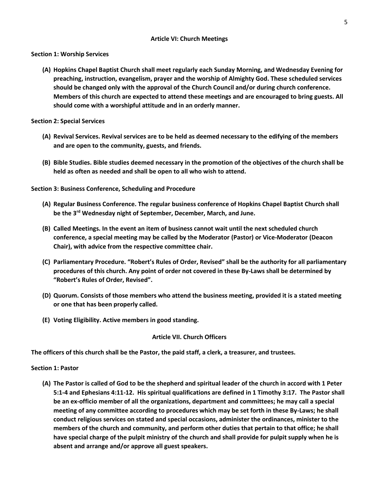## **Article VI: Church Meetings**

**Section 1: Worship Services**

**(A) Hopkins Chapel Baptist Church shall meet regularly each Sunday Morning, and Wednesday Evening for preaching, instruction, evangelism, prayer and the worship of Almighty God. These scheduled services should be changed only with the approval of the Church Council and/or during church conference. Members of this church are expected to attend these meetings and are encouraged to bring guests. All should come with a worshipful attitude and in an orderly manner.**

**Section 2: Special Services**

- **(A) Revival Services. Revival services are to be held as deemed necessary to the edifying of the members and are open to the community, guests, and friends.**
- **(B) Bible Studies. Bible studies deemed necessary in the promotion of the objectives of the church shall be held as often as needed and shall be open to all who wish to attend.**

**Section 3: Business Conference, Scheduling and Procedure**

- **(A) Regular Business Conference. The regular business conference of Hopkins Chapel Baptist Church shall be the 3rd Wednesday night of September, December, March, and June.**
- **(B) Called Meetings. In the event an item of business cannot wait until the next scheduled church conference, a special meeting may be called by the Moderator (Pastor) or Vice-Moderator (Deacon Chair), with advice from the respective committee chair.**
- **(C) Parliamentary Procedure. "Robert's Rules of Order, Revised" shall be the authority for all parliamentary procedures of this church. Any point of order not covered in these By-Laws shall be determined by "Robert's Rules of Order, Revised".**
- **(D) Quorum. Consists of those members who attend the business meeting, provided it is a stated meeting or one that has been properly called.**
- **(E) Voting Eligibility. Active members in good standing.**

## **Article VII. Church Officers**

**The officers of this church shall be the Pastor, the paid staff, a clerk, a treasurer, and trustees.** 

**Section 1: Pastor**

**(A) The Pastor is called of God to be the shepherd and spiritual leader of the church in accord with 1 Peter 5:1-4 and Ephesians 4:11-12. His spiritual qualifications are defined in 1 Timothy 3:17. The Pastor shall be an ex-officio member of all the organizations, department and committees; he may call a special meeting of any committee according to procedures which may be set forth in these By-Laws; he shall conduct religious services on stated and special occasions, administer the ordinances, minister to the members of the church and community, and perform other duties that pertain to that office; he shall have special charge of the pulpit ministry of the church and shall provide for pulpit supply when he is absent and arrange and/or approve all guest speakers.**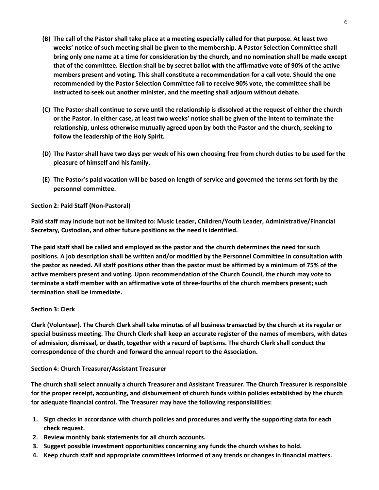- **(B) The call of the Pastor shall take place at a meeting especially called for that purpose. At least two weeks' notice of such meeting shall be given to the membership. A Pastor Selection Committee shall bring only one name at a time for consideration by the church, and no nomination shall be made except that of the committee. Election shall be by secret ballot with the affirmative vote of 90% of the active members present and voting. This shall constitute a recommendation for a call vote. Should the one recommended by the Pastor Selection Committee fail to receive 90% vote, the committee shall be instructed to seek out another minister, and the meeting shall adjourn without debate.**
- **(C) The Pastor shall continue to serve until the relationship is dissolved at the request of either the church or the Pastor. In either case, at least two weeks' notice shall be given of the intent to terminate the relationship, unless otherwise mutually agreed upon by both the Pastor and the church, seeking to follow the leadership of the Holy Spirit.**
- **(D) The Pastor shall have two days per week of his own choosing free from church duties to be used for the pleasure of himself and his family.**
- **(E) The Pastor's paid vacation will be based on length of service and governed the terms set forth by the personnel committee.**

# **Section 2: Paid Staff (Non-Pastoral)**

**Paid staff may include but not be limited to: Music Leader, Children/Youth Leader, Administrative/Financial Secretary, Custodian, and other future positions as the need is identified.**

**The paid staff shall be called and employed as the pastor and the church determines the need for such positions. A job description shall be written and/or modified by the Personnel Committee in consultation with the pastor as needed. All staff positions other than the pastor must be affirmed by a minimum of 75% of the active members present and voting. Upon recommendation of the Church Council, the church may vote to terminate a staff member with an affirmative vote of three-fourths of the church members present; such termination shall be immediate.**

# **Section 3: Clerk**

**Clerk (Volunteer). The Church Clerk shall take minutes of all business transacted by the church at its regular or special business meeting. The Church Clerk shall keep an accurate register of the names of members, with dates of admission, dismissal, or death, together with a record of baptisms. The church Clerk shall conduct the correspondence of the church and forward the annual report to the Association.**

# **Section 4: Church Treasurer/Assistant Treasurer**

**The church shall select annually a church Treasurer and Assistant Treasurer. The Church Treasurer is responsible for the proper receipt, accounting, and disbursement of church funds within policies established by the church for adequate financial control. The Treasurer may have the following responsibilities:**

- **1. Sign checks in accordance with church policies and procedures and verify the supporting data for each check request.**
- **2. Review monthly bank statements for all church accounts.**
- **3. Suggest possible investment opportunities concerning any funds the church wishes to hold.**
- **4. Keep church staff and appropriate committees informed of any trends or changes in financial matters.**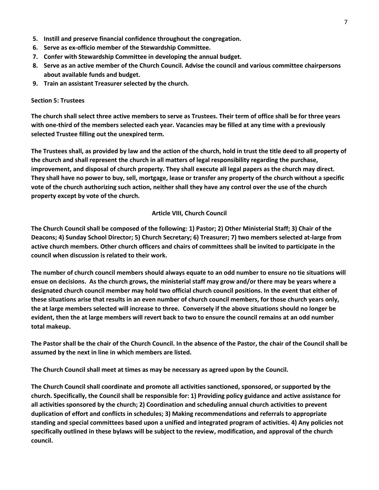- **5. Instill and preserve financial confidence throughout the congregation.**
- **6. Serve as ex-officio member of the Stewardship Committee.**
- **7. Confer with Stewardship Committee in developing the annual budget.**
- **8. Serve as an active member of the Church Council. Advise the council and various committee chairpersons about available funds and budget.**
- **9. Train an assistant Treasurer selected by the church.**

## **Section 5: Trustees**

**The church shall select three active members to serve as Trustees. Their term of office shall be for three years with one-third of the members selected each year. Vacancies may be filled at any time with a previously selected Trustee filling out the unexpired term.**

**The Trustees shall, as provided by law and the action of the church, hold in trust the title deed to all property of the church and shall represent the church in all matters of legal responsibility regarding the purchase, improvement, and disposal of church property. They shall execute all legal papers as the church may direct. They shall have no power to buy, sell, mortgage, lease or transfer any property of the church without a specific vote of the church authorizing such action, neither shall they have any control over the use of the church property except by vote of the church.**

## **Article VIII, Church Council**

**The Church Council shall be composed of the following: 1) Pastor; 2) Other Ministerial Staff; 3) Chair of the Deacons; 4) Sunday School Director; 5) Church Secretary; 6) Treasurer; 7) two members selected at-large from active church members. Other church officers and chairs of committees shall be invited to participate in the council when discussion is related to their work.**

**The number of church council members should always equate to an odd number to ensure no tie situations will ensue on decisions. As the church grows, the ministerial staff may grow and/or there may be years where a designated church council member may hold two official church council positions. In the event that either of these situations arise that results in an even number of church council members, for those church years only, the at large members selected will increase to three. Conversely if the above situations should no longer be evident, then the at large members will revert back to two to ensure the council remains at an odd number total makeup.**

**The Pastor shall be the chair of the Church Council. In the absence of the Pastor, the chair of the Council shall be assumed by the next in line in which members are listed.**

**The Church Council shall meet at times as may be necessary as agreed upon by the Council.**

**The Church Council shall coordinate and promote all activities sanctioned, sponsored, or supported by the church. Specifically, the Council shall be responsible for: 1) Providing policy guidance and active assistance for all activities sponsored by the church; 2) Coordination and scheduling annual church activities to prevent duplication of effort and conflicts in schedules; 3) Making recommendations and referrals to appropriate standing and special committees based upon a unified and integrated program of activities. 4) Any policies not specifically outlined in these bylaws will be subject to the review, modification, and approval of the church council.**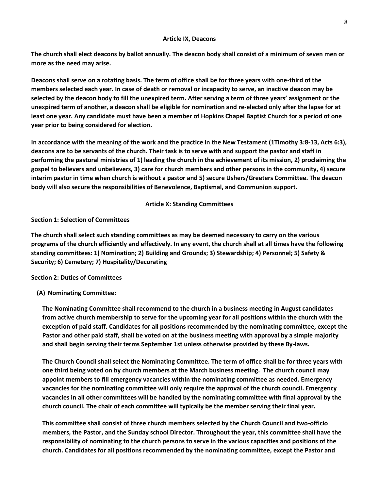#### **Article IX, Deacons**

**The church shall elect deacons by ballot annually. The deacon body shall consist of a minimum of seven men or more as the need may arise.**

**Deacons shall serve on a rotating basis. The term of office shall be for three years with one-third of the members selected each year. In case of death or removal or incapacity to serve, an inactive deacon may be selected by the deacon body to fill the unexpired term. After serving a term of three years' assignment or the unexpired term of another, a deacon shall be eligible for nomination and re-elected only after the lapse for at least one year. Any candidate must have been a member of Hopkins Chapel Baptist Church for a period of one year prior to being considered for election.**

**In accordance with the meaning of the work and the practice in the New Testament (1Timothy 3:8-13, Acts 6:3), deacons are to be servants of the church. Their task is to serve with and support the pastor and staff in performing the pastoral ministries of 1) leading the church in the achievement of its mission, 2) proclaiming the gospel to believers and unbelievers, 3) care for church members and other persons in the community, 4) secure interim pastor in time when church is without a pastor and 5) secure Ushers/Greeters Committee. The deacon body will also secure the responsibilities of Benevolence, Baptismal, and Communion support.**

# **Article X: Standing Committees**

## **Section 1: Selection of Committees**

**The church shall select such standing committees as may be deemed necessary to carry on the various programs of the church efficiently and effectively. In any event, the church shall at all times have the following standing committees: 1) Nomination; 2) Building and Grounds; 3) Stewardship; 4) Personnel; 5) Safety & Security; 6) Cemetery; 7) Hospitality/Decorating**

# **Section 2: Duties of Committees**

# **(A) Nominating Committee:**

**The Nominating Committee shall recommend to the church in a business meeting in August candidates from active church membership to serve for the upcoming year for all positions within the church with the exception of paid staff. Candidates for all positions recommended by the nominating committee, except the Pastor and other paid staff, shall be voted on at the business meeting with approval by a simple majority and shall begin serving their terms September 1st unless otherwise provided by these By-laws.** 

**The Church Council shall select the Nominating Committee. The term of office shall be for three years with one third being voted on by church members at the March business meeting. The church council may appoint members to fill emergency vacancies within the nominating committee as needed. Emergency vacancies for the nominating committee will only require the approval of the church council. Emergency vacancies in all other committees will be handled by the nominating committee with final approval by the church council. The chair of each committee will typically be the member serving their final year.**

**This committee shall consist of three church members selected by the Church Council and two-officio members, the Pastor, and the Sunday school Director. Throughout the year, this committee shall have the responsibility of nominating to the church persons to serve in the various capacities and positions of the church. Candidates for all positions recommended by the nominating committee, except the Pastor and**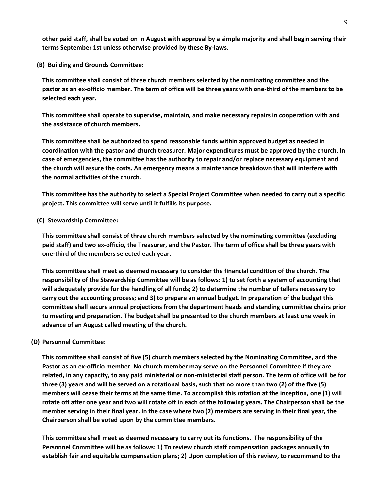**other paid staff, shall be voted on in August with approval by a simple majority and shall begin serving their terms September 1st unless otherwise provided by these By-laws.** 

**(B) Building and Grounds Committee:** 

**This committee shall consist of three church members selected by the nominating committee and the pastor as an ex-officio member. The term of office will be three years with one-third of the members to be selected each year.**

**This committee shall operate to supervise, maintain, and make necessary repairs in cooperation with and the assistance of church members.**

**This committee shall be authorized to spend reasonable funds within approved budget as needed in coordination with the pastor and church treasurer. Major expenditures must be approved by the church. In case of emergencies, the committee has the authority to repair and/or replace necessary equipment and the church will assure the costs. An emergency means a maintenance breakdown that will interfere with the normal activities of the church.**

**This committee has the authority to select a Special Project Committee when needed to carry out a specific project. This committee will serve until it fulfills its purpose.**

**(C) Stewardship Committee:** 

**This committee shall consist of three church members selected by the nominating committee (excluding paid staff) and two ex-officio, the Treasurer, and the Pastor. The term of office shall be three years with one-third of the members selected each year.**

**This committee shall meet as deemed necessary to consider the financial condition of the church. The responsibility of the Stewardship Committee will be as follows: 1) to set forth a system of accounting that will adequately provide for the handling of all funds; 2) to determine the number of tellers necessary to carry out the accounting process; and 3) to prepare an annual budget. In preparation of the budget this committee shall secure annual projections from the department heads and standing committee chairs prior to meeting and preparation. The budget shall be presented to the church members at least one week in advance of an August called meeting of the church.**

#### **(D) Personnel Committee:**

**This committee shall consist of five (5) church members selected by the Nominating Committee, and the Pastor as an ex-officio member. No church member may serve on the Personnel Committee if they are related, in any capacity, to any paid ministerial or non-ministerial staff person. The term of office will be for three (3) years and will be served on a rotational basis, such that no more than two (2) of the five (5) members will cease their terms at the same time. To accomplish this rotation at the inception, one (1) will rotate off after one year and two will rotate off in each of the following years. The Chairperson shall be the member serving in their final year. In the case where two (2) members are serving in their final year, the Chairperson shall be voted upon by the committee members.**

**This committee shall meet as deemed necessary to carry out its functions. The responsibility of the Personnel Committee will be as follows: 1) To review church staff compensation packages annually to establish fair and equitable compensation plans; 2) Upon completion of this review, to recommend to the**